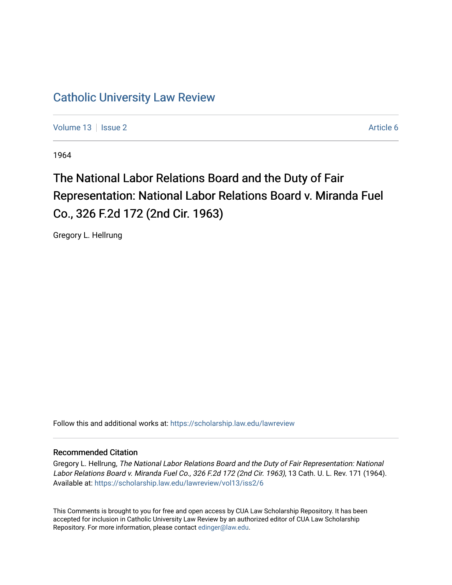## [Catholic University Law Review](https://scholarship.law.edu/lawreview)

[Volume 13](https://scholarship.law.edu/lawreview/vol13) | [Issue 2](https://scholarship.law.edu/lawreview/vol13/iss2) Article 6

1964

# The National Labor Relations Board and the Duty of Fair Representation: National Labor Relations Board v. Miranda Fuel Co., 326 F.2d 172 (2nd Cir. 1963)

Gregory L. Hellrung

Follow this and additional works at: [https://scholarship.law.edu/lawreview](https://scholarship.law.edu/lawreview?utm_source=scholarship.law.edu%2Flawreview%2Fvol13%2Fiss2%2F6&utm_medium=PDF&utm_campaign=PDFCoverPages)

### Recommended Citation

Gregory L. Hellrung, The National Labor Relations Board and the Duty of Fair Representation: National Labor Relations Board v. Miranda Fuel Co., 326 F.2d 172 (2nd Cir. 1963), 13 Cath. U. L. Rev. 171 (1964). Available at: [https://scholarship.law.edu/lawreview/vol13/iss2/6](https://scholarship.law.edu/lawreview/vol13/iss2/6?utm_source=scholarship.law.edu%2Flawreview%2Fvol13%2Fiss2%2F6&utm_medium=PDF&utm_campaign=PDFCoverPages)

This Comments is brought to you for free and open access by CUA Law Scholarship Repository. It has been accepted for inclusion in Catholic University Law Review by an authorized editor of CUA Law Scholarship Repository. For more information, please contact [edinger@law.edu.](mailto:edinger@law.edu)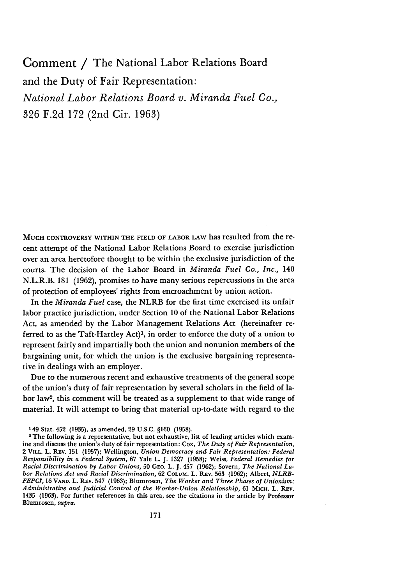Comment **/** The National Labor Relations Board and the Duty of Fair Representation: *National Labor Relations Board v. Miranda Fuel Co.,* 326 F.2d 172 (2nd Cir. 1963)

**MUCH** CONTROVERSY WITHIN THE FIELD OF LABOR LAW has resulted from the recent attempt of the National Labor Relations Board to exercise jurisdiction over an area heretofore thought to be within the exclusive jurisdiction of the courts. The decision of the Labor Board in *Miranda Fuel Co., Inc.,* 140 N.L.R.B. 181 (1962), promises to have many serious repercussions in the area of protection of employees' rights from encroachment by union action.

In the *Miranda Fuel* case, the NLRB for the first time exercised its unfair labor practice jurisdiction, under Section 10 of the National Labor Relations Act, as amended by the Labor Management Relations Act (hereinafter referred to as the Taft-Hartley Act)', in order to enforce the duty of a union to represent fairly and impartially both the union and nonunion members of the bargaining unit, for which the union is the exclusive bargaining representative in dealings with an employer.

Due to the numerous recent and exhaustive treatments of the general scope of the union's duty of fair representation by several scholars in the field of labor law2 , this comment will be treated as a supplement to that wide range of material. It will attempt to bring that material up-to-date with regard to the

**<sup>149</sup>** Stat. 452 (1935), as amended, 29 U.S.C. **§160** (1958).

<sup>&</sup>lt;sup>2</sup> The following is a representative, but not exhaustive, list of leading articles which examine and discuss the union's duty of fair representation: Cox, *The Duty of Fair Representation,* 2 **VILL.** L. REv. **151 (1957);** Wellington, *Union Democracy and Fair Representation: Federal Responsibility in a Federal System,* **67** Yale L. **J. 1327 (1958);** Weiss, *Federal Remedies for Racial Discrimination by Labor Unions,* **50 GEO.** L. **J.** 457 **(1962);** Sovern, *The National Labor Relations Act and Racial Discrimination,* **62 COLUM. L.** REv. **563 (1962);** Albert, *NLRB-FEPC?,* **16 VAND.** L. REv. 547 **(1963);** Blumrosen, *The Worker and Three Phases of Unionism: Administrative and Judicial Control of the Worker-Union Relationship,* **61** MicH. L. REv. 1435 **(1963).** For further references in this area, see the citations in the article **by** Professor Blumrosen, *supra.*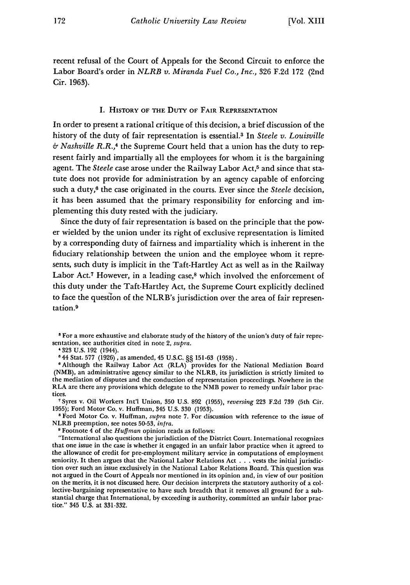recent refusal of the Court of Appeals for the Second Circuit to enforce the Labor Board's order in *NLRB v. Miranda Fuel Co., Inc.,* 326 F.2d **172** (2nd Cir. 1963).

#### I. HISTORY **OF** THE DuTY **OF** FAIR REPRESENTATION

In order to present a rational critique of this decision, a brief discussion of the history of the duty of fair representation is essential.3 In *Steele v. Louisville & Nashville R.R.,4* the Supreme Court held that a union has the duty to represent fairly and impartially all the employees for whom it is the bargaining agent. The *Steele* case arose under the Railway Labor Act,<sup>5</sup> and since that statute does not provide for administration by an agency capable of enforcing such a duty,6 the case originated in the courts. Ever since the *Steele* decision, it has been assumed that the primary responsibility for enforcing and implementing this duty rested with the judiciary.

Since the duty of fair representation is based on the principle that the power wielded by the union under its right of exclusive representation is limited by a corresponding duty of fairness and impartiality which is inherent in the fiduciary relationship between the union and the employee whom it represents, such duty is implicit in the Taft-Hartley Act as well as in the Railway Labor Act.<sup>7</sup> However, in a leading case,<sup>8</sup> which involved the enforcement of this duty under the Taft-Hartley Act, the Supreme Court explicitly declined to face the question of the NLRB's jurisdiction over the area of fair representation. <sup>9</sup>

**3** For a more exhaustive and elaborate study of the history of the union's duty of fair representation, see authorities cited in note 2, *supra.*

'44 Stat. 577 (1926), as amended, 45 **U.S.C.** §§ **151-63** (1958).

<sup>6</sup> Although the Railway Labor Act (RLA) provides for the National Mediation Board (NMB), an administrative agency similar to the NLRB, its jurisdiction is strictly limited to the mediation of disputes and the conduction of representation proceedings. Nowhere in the RLA are there any provisions which delegate to the NMB power to remedy unfair labor practices.

Syres v. Oil Workers Int'l Union, 350 U.S. 892 (1955), *reversing* 223 F.2d **739** (5th Cir. 1955); Ford Motor Co. v. Huffman, 345 U.S. 330 (1953).

**8** Ford Motor Co. v. Huffman, *supra* note 7. For discussion with reference to the issue of NLRB preemption, see notes 50-53, *infra.*

<sup>9</sup> Footnote 4 of the *Huffman* opinion reads as follows:

"International also questions the jurisdiction of the District Court. International recognizes that one issue in the case is whether it engaged in an unfair labor practice when it agreed to the allowance of credit for pre-employment military service in computations of employment seniority. It then argues that the National Labor Relations Act . . . vests the initial jurisdiction over such an issue exclusively in the National Labor Relations Board. This question was not argued in the Court of Appeals nor mentioned in its opinion and, in view of our position on the merits, it is not discussed here. Our decision interprets the statutory authority of a collective-bargaining representative to have such breadth that it removes all ground for a substantial charge that International, by exceeding is authority, committed an unfair labor practice." 345 U.S. at 331-332.

<sup>&#</sup>x27;323 U.S. 192 (1944).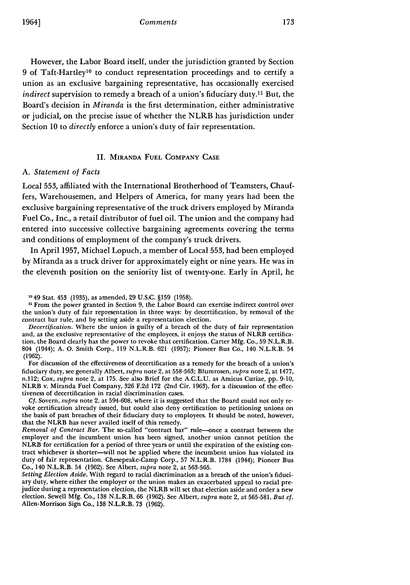However, the Labor Board itself, under the jurisdiction granted by Section 9 of Taft-Hartley<sup>10</sup> to conduct representation proceedings and to certify a union as an exclusive bargaining representative, has occasionally exercised *indirect* supervision to remedy a breach of a union's fiduciary duty.<sup>11</sup> But, the Board's decision in *Miranda* is the first determination, either administrative or judicial, on the precise issue of whether the NLRB has jurisdiction under Section 10 to *directly* enforce a union's duty of fair representation.

#### II. MIRANDA **FUEL** COMPANY **CASE**

#### *A. Statement of Facts*

Local 553, affiliated with the International Brotherhood of Teamsters, Chauffers, Warehousemen, and Helpers of America, for many years had been the exclusive bargaining representative of the truck drivers employed by Miranda Fuel Co., Inc., a retail distributor of fuel oil. The union and the company had entered into successive collective bargaining agreements covering the terms and conditions of employment of the company's truck drivers.

In April 1957, Michael Lopuch, a member of Local 553, had been employed by Miranda as a truck driver for approximately eight or nine years. He was in the eleventh position on the seniority list of twenty-one. Early in April, he

<sup>11</sup> From the power granted in Section 9, the Labor Board can exercise indirect control over the union's duty of fair representation in three ways: by decertification, by removal of the contract bar rule, and by setting aside a representation election.

*Decertification.* Where the union is guilty of a breach of the duty of fair representation and, as the exclusive representative of the employees, it enjoys the status of NLRB certification, the Board clearly has the power to revoke that certification. Carter Mfg. Co., 59 N.L.R.B. 804 (1944); A. **0.** Smith Corp., 119 N.L.R.B. 621 (1957); Pioneer Bus Co., 140 N.L.R.B. 54 (1962).

For discussion of the effectiveness of decertification as a remedy for the breach of a union's fiduciary duty, see generally Albert, *supra* note 2, at 558-563; Blumrosen, *supra* note 2, at 1477, n.112; Cox, *supra* note 2, at 175. See also Brief for the A.C.L.U. as Amicus Curiae, pp. 9-10, NLRB v. Miranda Fuel Company, 326 F.2d 172 (2nd Cir. 1963), for a discussion of the effectiveness of decertification in racial discrimination cases.

**Cf.** Sovern, *supra* note 2, at 594-608, where it is suggested that the Board could not only revoke certification already issued, but could also deny certification to petitioning unions on the basis of past breaches of their fiduciary duty to employees. It should be noted, however, that the NLRB has never availed itself of this remedy.

*Removal of Contract Bar.* The so-called "contract bar" rule--once a contract between the employer and the incumbent union has been signed, another union cannot petition the NLRB for certification for a period of three years or until the expiration of the existing contract whichever is shorter-will not be applied where the incumbent union has violated its duty of fair representation. Chesepeake-Camp Corp., 57 N.L.R.B. 1784 (1944); Pioneer Bus Co., 140 N.L.R.B. 54 (1962). See Albert, *supra* note 2, at 563-565.

*Setting Election Aside.* With regard to racial discrimination as a breach of the union's fiduciary duty, where either the employer or the union makes an exacerbated appeal to racial prejudice during a representation election, the NLRB will set that election aside and order a new election. Sewell Mfg. Co., 138 N.L.R.B. 66 (1962). See Albert, *supra* note 2, at 565-581. *But Cf.* Allen-Morrison Sign Co., 138 N.L.R.B. 73 (1962).

**<sup>1149</sup>** Stat. 453 (1935), as amended, 29 U.S.C. §159 (1958).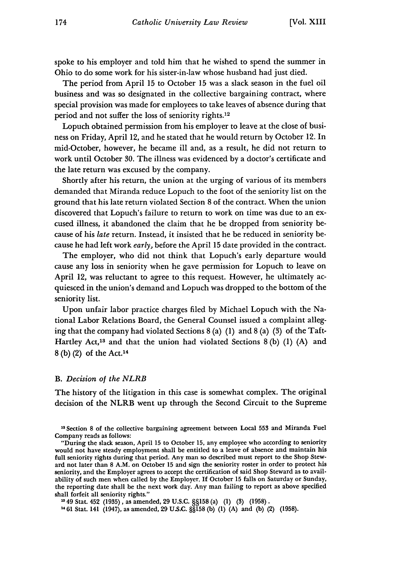spoke to his employer and told him that he wished to spend the summer in Ohio to do some work for his sister-in-law whose husband had just died.

The period from April 15 to October 15 was a slack season in the fuel oil business and was so designated in the collective bargaining contract, where special provision was made for employees to take leaves of absence during that period and not suffer the loss of seniority rights. <sup>12</sup>

Lopuch obtained permission from his employer to leave at the close of business on Friday, April 12, and he stated that he would return by October 12. In mid-October, however, he became ill and, as a result, he did not return to work until October **30.** The illness was evidenced by a doctor's certificate and the late return was excused by the company.

Shortly after his return, the union at the urging of various of its members demanded that Miranda reduce Lopuch to the foot of the seniority list on the ground that his late return violated Section 8 of the contract. When the union discovered that Lopuch's failure to return to work on time was due to an excused illness, it abandoned the claim that he be dropped from seniority because of his *late* return. Instead, it insisted that he be reduced in seniority because he had left work *early,* before the April 15 date provided in the contract.

The employer, who did not think that Lopuch's early departure would cause any loss in seniority when he gave permission for Lopuch to leave on April 12, was reluctant to agree to this request. However, he ultimately acquiesced in the union's demand and Lopuch was dropped to the bottom of the seniority list.

Upon unfair labor practice charges filed by Michael Lopuch with the National Labor Relations Board, the General Counsel issued a complaint alleging that the company had violated Sections 8 (a) (1) and 8 (a) (3) of the Taft-Hartley Act,<sup>13</sup> and that the union had violated Sections  $8(b)$  (1) (A) and  $8$  (b) (2) of the Act.<sup>14</sup>

#### *B. Decision of the NLRB*

The history of the litigation in this case is somewhat complex. The original decision of the NLRB went up through the Second Circuit to the Supreme

<sup>13</sup> Section 8 of the collective bargaining agreement between Local 553 and Miranda Fuel Company reads as follows:

**<sup>249</sup>**Stat. *452* (1935), as amended, 29 U.S.C. §§158 (a) (1) (3) (1958). **<sup>1461</sup>**Stat. 141 (1947), as amended, **29 U.CZ. §§158** (b) (1) (A) and (b) (2) **(1958).**

<sup>&</sup>quot;During the slack season, April 15 to October 15, any employee who according to seniority would not have steady employment shall be entitled to a leave of absence and maintain his full seniority rights during that period. Any man so described must report to the Shop Steward not later than 8 A.M. on October 15 and sign the seniority roster in order to protect his seniority, and the Employer agrees to accept the certification of said Shop Steward as to availability of such men when called by the Employer. **If** October **15** falls on Saturday or Sunday, the reporting date shall be the next work day. Any man failing to report as above specified shall forfeit all seniority rights."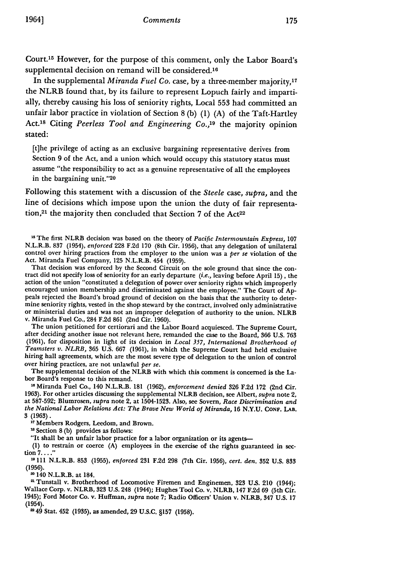Court.15 However, for the purpose of this comment, only the Labor Board's supplemental decision on remand will be considered.<sup>16</sup>

In the supplemental *Miranda Fuel Co.* case, by a three-member majority, <sup>17</sup> the NLRB found that, by its failure to represent Lopuch fairly and impartially, thereby causing his loss of seniority rights, Local **553** had committed an unfair labor practice in violation of Section 8 (b) (1) (A) of the Taft-Hartley Act.<sup>18</sup> Citing *Peerless Tool and Engineering Co.*,<sup>19</sup> the majority opinion stated:

[t]he privilege of acting as an exclusive bargaining representative derives from Section **9** of the Act, and a union which would occupy this statutory status must assume "the responsibility to act as a genuine representative of all the employees in the bargaining unit."<sup>20</sup>

Following this statement with a discussion of the *Steele* case, *supra,* and the line of decisions which impose upon the union the duty of fair representation,<sup>21</sup> the majority then concluded that Section 7 of the Act<sup>22</sup>

**15** The first NLRB decision was based on the theory of *Pacific Intermountain Express,* <sup>107</sup> N.L.R.B. 837 (1954), *enforced* 228 F.2d **170** (8th Cir. 1956), that any delegation of unilateral control over hiring practices from the employer to the union was a *per se* violation of the Act. Miranda Fuel Company, 125 N.L.R.B. 454 (1959).

That decision was enforced by the Second Circuit on the sole ground that since the con- tract did not specify loss of seniority for an early departure *(i.e.,* leaving before April 15), the action of the union "constituted a delegation of power over seniority rights which improperly encouraged union membership and discriminated against the employee." The Court of Appeals rejected the Board's broad ground of decision on the basis that the authority to determine seniority rights, vested in the shop steward by the contract, involved only administrative or ministerial duties and was not an improper delegation of authority to the union. NLRB v. Miranda Fuel Co., 284 F.2d **861** (2nd Cir. **1960).**

The union petitioned for certiorari and the Labor Board acquiesced. The Supreme Court, after deciding another issue not relevant here, remanded the case to the Board, **366** U.S. **763** (1961), for disposition in light of its decision in *Local 357, International Brotherhood of Teamsters v. NLRB,* **365** U.S. **667 (1961),** in which the Supreme Court had held exclusive hiring hall agreements, which are the most severe type of delegation to the union of control over hiring practices, are not unlawful *per se.* The supplemental decision of the NLRB with which this comment is concerned is the La-

bor Board's response to this remand.

**"6** Miranda Fuel Co., 140 N.L.R.B. 181 (1962), *enforcement denied* **326** F.2d 172 (2nd Cir. 1963). For other articles discussing the supplemental NLRB decision, see Albert, *supra* note 2, at 587-592; Blumrosen, *supra* note 2, at 1504-1523. Also, see Sovern, *Race Discrimination and the National Labor Relations Act: The Brave New World of Miranda,* **16 N.Y.U. CONF. LAB. 3 (1963).**

**11** Members Rodgers, Leedom, and Brown.

<sup>18</sup> Section 8 (b) provides as follows:

"It shall be an unfair labor practice for a labor organization or its agents-

**(1)** to restrain or coerce (A) employees in the exercise of the rights guaranteed in **sec**tion **7 ...."**

**-111** N.L.R.B. **853** (1955), *enforced* 231 F.2d 298 (7th Cir. 1956), *cert. den.* **352** U.S. 833 (1956).

<sup>20</sup> 140 N.L.R.B. at 184.<br><sup>21</sup> Tunstall v. Brotherhood of Locomotive Firemen and Enginemen, 323 U.S. 210 (1944); Wallace Corp. v. NLRB, **323** U.S. 248 (1944); Hughes Tool Co. v. NLRB, 147 F.2d **69** (5th Cir. 1945); Ford Motor Co. v. Huffman, *supra* note **7;** Radio Officers' Union v. NLRB, 347 **U.S.** 17 (1954).

249 Stat. 452 (1935), as amended, 29 **U.S.C.** §157 (1958).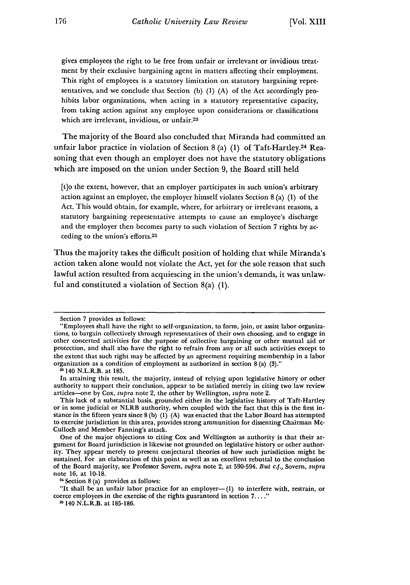gives employees the right to be free from unfair or irrelevant or invidious treatment by their exclusive bargaining agent in matters affecting their employment. This right of employees is a statutory limitation on statutory bargaining representatives, and we conclude that Section (b) (1) (A) of the Act accordingly prohibits labor organizations, when acting in a statutory representative capacity, from taking action against any employee upon considerations or classifications which are irrelevant, invidious, or unfair.23

The majority of the Board also concluded that Miranda had committed an unfair labor practice in violation of Section 8 (a) (1) of Taft-Hartley.<sup>24</sup> Reasoning that even though an employer does not have the statutory obligations which are imposed on the union under Section 9, the Board still held

[t]o the extent, however, that an employer participates in such union's arbitrary action against an employee, the employer himself violates Section 8 (a) (1) of the Act. This would obtain, for example, where, for arbitrary or irrelevant reasons, a statutory bargaining representative attempts to cause an employee's discharge and the employer then becomes party to such violation of Section 7 rights by acceding to the union's efforts.25

Thus the majority takes the difficult position of holding that while Miranda's action taken alone would not violate the Act, yet for the sole reason that such lawful action resulted from acquiescing in the union's demands, it was unlawful and constituted a violation of Section 8(a) (1).

Section 7 provides as follows:

<sup>&</sup>quot;Employees shall have the right to self-organization, to form, join, or assist labor organizations, to bargain collectively through representatives of their own choosing, and to engage in other concerted activities for the purpose of collective bargaining or other mutual aid or protection, and shall also have the right to refrain from any or all such activities except to the extent that such right may be affected by an agreement requiring membership in a labor organization as a condition of employment as authorized in section 8 (a) (3)."

<sup>21140</sup> N.L.R.B. at 185.

In attaining this result, the majority, instead of relying upon legislative history or other authority to support their conclusion, appear to be satisfied merely in citing two law review articles-one by Cox, *supra* note 2, the other by Wellington, *supra* note 2.

This lack of a substantial basis, grounded either in the legislative history of Taft-Hartley or in some judicial or NLRB authority, when coupled with the fact that this is the first instance in the fifteen years since  $8(b)$  (1) (A) was enacted that the Labor Board has attempted to exercise jurisdiction in this area, provides strong ammunition for dissenting Chairman Mc-Culloch and Member Fanning's attack.

One of the major objections to citing Cox and Wellington as authority is that their argument for Board jurisdiction is likewise not grounded on legislative history or other authority. They appear merely to present conjectural theories of how such jurisdiction might be sustained. For an elaboration of this point as well as an excellent rebuttal to the conclusion of the Board majority, see Professor Sovern, *supra* note 2, at 590-594. *But c.f.,* Sovern, *supra* note 16, at 10-18.

**<sup>24</sup>** Section 8 (a) provides as follows:

<sup>&</sup>quot;It shall be an unfair labor practice for an employer- $(1)$  to interfere with, restrain, or coerce employees in the exercise of the rights guaranteed in section 7.

<sup>&</sup>lt;sup>25</sup> 140 N.L.R.B. at 185-186.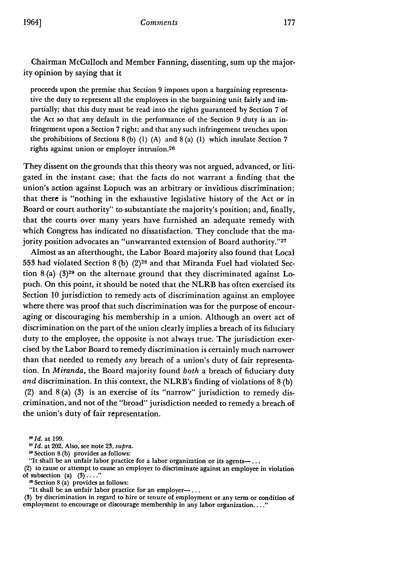Chairman McCulloch and Member Fanning, dissenting, sum up the majority opinion by saying that it

proceeds upon the premise that Section 9 imposes upon a bargaining representative the duty to represent all the employees in the bargaining unit fairly and impartially; that this duty must be read into the rights guaranteed by Section 7 of the Act so that any default in the performance of the Section 9 duty is an infringement upon a Section 7 right; and that any such infringement trenches upon the prohibitions of Sections 8 (b) (1) (A) and 8 (a) (1) which insulate Section 7 rights against union or employer intrusion.<sup>26</sup>

They dissent on the grounds that this theory was not argued, advanced, or litigated in the instant case; that the facts do not warrant a finding that the union's action against Lopuch was an arbitrary or invidious discrimination; that there is "nothing in the exhaustive legislative history of the Act or in Board or court authority" to substantiate the majority's position; and, finally, that the courts over many years have furnished an adequate remedy with which Congress has indicated no dissatisfaction. They conclude that the majority position advocates an "unwarranted extension of Board authority."27

Almost as an afterthought, the Labor Board majority also found that Local 553 had violated Section 8 (b) (2)28 and that Miranda Fuel had violated Section 8 (a) **(3)29** on the alternate ground that they discriminated against Lopuch. On this point, it should be noted that the NLRB has often exercised its Section 10 jurisdiction to remedy acts of discrimination against an employee where there was proof that such discrimination was for the purpose of encouraging or discouraging his membership in a union. Although an overt act of discrimination on the part of the union clearly implies a breach of its fiduciary duty to the employee, the opposite is not always true. The jurisdiction exercised by the Labor Board to remedy discrimination is certainly much narrower than that needed to remedy *any* breach of a union's duty of fair representation. In *Miranda,* the Board majority found *both* a breach of fiduciary duty *and* discrimination. In this context, the NLRB's finding of violations of 8 (b) (2) and 8 (a) (3) is an exercise of its "narrow" jurisdiction to remedy discrimination, and not of the "broad" jurisdiction needed to remedy a breach of the union's duty of fair representation.

*MId.* at **199.**

*1 Id.* at 202. Also, see note 23, supra.

<sup>28</sup> Section 8 (b) provides as follows:

"It shall be an unfair labor practice for a labor organization or its agents-...

(2) to cause or attempt to cause an employer to discriminate against an employee in violation of subsection (a) **(3)...."**

**<sup>2</sup>**Section **8** (a) provides as follows:

"It shall be an unfair labor practice for an employer-... **(3) by** discrimination in regard to hire or tenure of employment or any term or condition of employment to encourage or discourage membership in any labor organization...."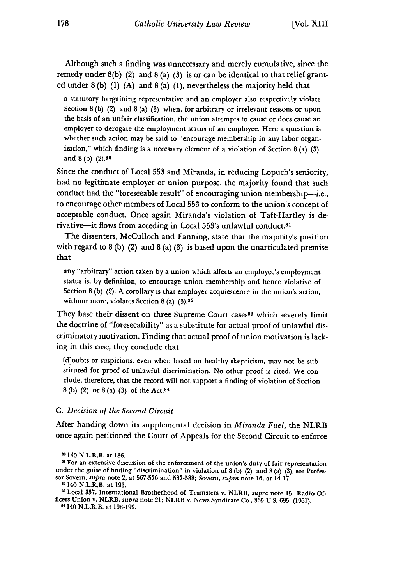Although such a finding was unnecessary and merely cumulative, since the remedy under 8(b) (2) and 8 (a) (3) is or can be identical to that relief granted under 8 (b) (1) (A) and 8 (a) (1), nevertheless the majority held that

a statutory bargaining representative and an employer also respectively violate Section 8 (b) (2) and 8 (a) **(3)** when, for arbitrary or irrelevant reasons or upon the basis of an unfair classification, the union attempts to cause or does cause an employer to derogate the employment status of an employee. Here a question is whether such action may be said to "encourage membership in any labor organization," which finding is a necessary element of a violation of Section 8 (a) **(3)** and 8 (b) (2).80

Since the conduct of Local **553** and Miranda, in reducing Lopuch's seniority, had no legitimate employer or union purpose, the majority found that such conduct had the "foreseeable result" of encouraging union membership-i.e., to encourage other members of Local **553** to conform to the union's concept of acceptable conduct. Once again Miranda's violation of Taft-Hartley is derivative-it flows from acceding in Local 553's unlawful conduct.<sup>31</sup>

The dissenters, McCulloch and Fanning, state that the majority's position with regard to  $8$  (b) (2) and  $8$  (a) (3) is based upon the unarticulated premise that

any "arbitrary" action taken **by** a union which affects an employee's employment status is, **by** definition, to encourage union membership and hence violative of Section 8 (b) (2). A corollary is that employer acquiescence in the union's action, without more, violates Section 8 (a) **(3).32**

They base their dissent on three Supreme Court cases<sup>83</sup> which severely limit the doctrine of "foreseeability" as a substitute for actual proof of unlawful discriminatory motivation. Finding that actual proof of union motivation is lacking in this case, they conclude that

[d]oubts or suspicions, even when based on healthy skepticism, may not be substituted for proof of unlawful discrimination. No other proof is cited. We conclude, therefore, that the record will not support a finding of violation of Section 8 (b) (2) or 8 (a) (3) of the Act.3 <sup>4</sup>

#### *C. Decision of the Second Circuit*

After handing down its supplemental decision in *Miranda Fuel,* the NLRB once again petitioned the Court of Appeals for the Second Circuit to enforce

'Local 357, International Brotherhood of Teamsters v. NLRB, *supra* note **15;** Radio **Of**ficers Union v. NLRB, *supra* note 21; NLRB v. News Syndicate Co., **365 U.S. 695** (1961).

**"** 140 N.L.R.B. at 198-199.

<sup>&</sup>lt;sup>80</sup> 140 N.L.R.B. at 186.

at For an extensive discussion of the enforcement of the union's duty of fair representation under the guise of finding "discrimination" in violation of 8 (b) (2) and 8 (a) (3), see Profes- sor Sovern, *supra* note 2, at 567-576 and 587-588; Sovem, *supra* note 16, at 14-17.

<sup>&</sup>lt;sup>82</sup> 140 N.L.R.B. at 193.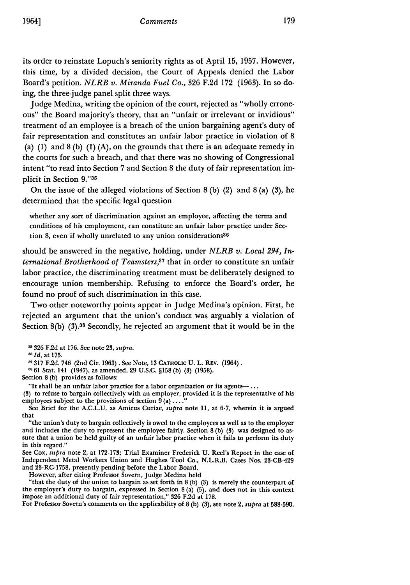its order to reinstate Lopuch's seniority rights as of April 15, 1957. However, this time, by a divided decision, the Court of Appeals denied the Labor Board's petition. *NLRB v. Miranda Fuel Co.,* 326 F.2d 172 (1963). In so doing, the three-judge panel split three ways.

Judge Medina, writing the opinion of the court, rejected as "wholly erroneous" the Board majority's theory, that an "unfair or irrelevant or invidious" treatment of an employee is a breach of the union bargaining agent's duty of fair representation and constitutes an unfair labor practice in violation of 8 (a) (1) and  $8$  (b) (1) (A), on the grounds that there is an adequate remedy in the courts for such a breach, and that there was no showing of Congressional intent "to read into Section 7 and Section 8 the duty of fair representation implicit in Section **9."35**

On the issue of the alleged violations of Section 8 (b) (2) and 8 (a) (3), he determined that the specific legal question

whether any sort of discrimination against an employee, affecting the terms and conditions of his employment, can constitute an unfair labor practice under Section 8, even if wholly unrelated to any union considerations<sup>36</sup>

should be answered in the negative, holding, under *NLRB v. Local 294, International Brotherhood of Teamsters,<sup>37</sup>* that in order to constitute an unfair labor practice, the discriminating treatment must be deliberately designed to encourage union membership. Refusing to enforce the Board's order, he found no proof of such discrimination in this case.

Two other noteworthy points appear in Judge Medina's opinion. First, he rejected an argument that the union's conduct was arguably a violation of Section  $8(b)$  (3).<sup>38</sup> Secondly, he rejected an argument that it would be in the

**11326** F.2d at 176. See note 23, *supra.*

*RId.* at **175.**

**11317** F.2d. 746 (2nd Cir. 1963). See Note, 13 CATHOLIC **U.** L. REV. (1964).

**8** 61 Stat. 141 (1947), as amended, 29 U.S.C. §158 (b) (3) (1958).

Section 8 (b) provides as follows:

"It shall be an unfair labor practice for a labor organization or its agents- $\ldots$ 

(3) to refuse to bargain collectively with an employer, provided it is the representative of his employees subject to the provisions of section 9 (a) **...."**

See Brief for the A.C.L.U. as Amicus Curiae, *supra* note 11, at 6-7, wherein it is argued that

"the union's duty to bargain collectively is owed to the employees as well as to the employer and includes the duty to represent the employee fairly. Section 8 (b) (3) was designed to assure that a union be held guilty of an unfair labor practice when it fails to perform its duty in this regard."

See Cox, *supra* note 2, at 172-173; Trial Examiner Frederick U. Reel's Report in the case of Independent Metal Workers Union and Hughes Tool Co., N.L.R.B. Cases Nos. 23-CB-429 and 23-RC-1758, presently pending before the Labor Board.

However, after citing Professor Sovern, Judge Medina held

"that the duty of the union to bargain as set forth in 8 (b) (3) is merely the counterpart of the employer's duty to bargain, expressed in Section 8(a)  $(5)$ , and does not in this context impose an additional duty of fair representation," 326 F.2d at 178.

For Professor Sovern's comments on the applicability of 8 (b) (3), see note 2, *supra* at 588-590.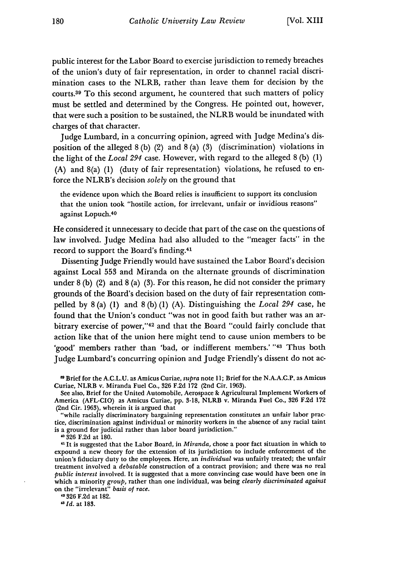public interest for the Labor Board to exercise jurisdiction to remedy breaches of the union's duty of fair representation, in order to channel racial discrimination cases to the NLRB, rather than leave them for decision by the courts. 39 To this second argument, he countered that such matters of policy must be settled and determined by the Congress. He pointed out, however, that were such a position to be sustained, the NLRB would be inundated with charges of that character.

Judge Lumbard, in a concurring opinion, agreed with Judge Medina's disposition of the alleged 8 (b) (2) and 8 (a) (3) (discrimination) violations in the light of the *Local 294* case. However, with regard to the alleged 8 (b) (1) (A) and 8(a) (1) (duty of fair representation) violations, he refused to enforce the NLRB's decision *solely* on the ground that

the evidence upon which the Board relies is insufficient to support its conclusion that the union took "hostile action, for irrelevant, unfair or invidious reasons" against Lopuch. <sup>40</sup>

He considered it unnecessary to decide that part of the case on the questions of law involved. Judge Medina had also alluded to the "meager facts" in the record to support the Board's finding.<sup>41</sup>

Dissenting Judge Friendly would have sustained the Labor Board's decision against Local **553** and Miranda on the alternate grounds of discrimination under 8 (b) (2) and 8 (a) (3). For this reason, he did not consider the primary grounds of the Board's decision based on the duty of fair representation compelled by 8 (a) (1) and 8 (b) (1) (A). Distinguishing the *Local 294* case, he found that the Union's conduct "was not in good faith but rather was an arbitrary exercise of power,"<sup>42</sup> and that the Board "could fairly conclude that action like that of the union here might tend to cause union members to be 'good' members rather than 'bad, or indifferent members.'"43 Thus both Judge Lumbard's concurring opinion and Judge Friendly's dissent do not ac-

Brief for the A.C.L.U. as Amicus Curiae, *supra* note 11; Brief for the N.A.A.C.P. as Amicus Curiae, NLRB v. Miranda Fuel Co., **326** F.2d 172 (2nd Cir. 1963).

See also, Brief for the United Automobile, Aerospace & Agricultural Implement Workers of America (AFL-CIO) as Amicus Curiae, pp. 3-18, NLRB v. Miranda Fuel Co., 326 F.2d 172 (2nd Cir. 1963), wherein it is argued that

"while racially discriminatory bargaining representation constitutes an unfair labor practice, discrimination against individual or minority workers in the absence of any racial taint is a ground for judicial rather than labor board jurisdiction."

**0** 0326 F.2d at 180.

**"** It is suggested that the Labor Board, in *Miranda,* chose a poor fact situation in which to expound a new theory for the extension of its jurisdiction to include enforcement of the union's fiduciary duty to the employees. Here, an *individual* was unfairly treated; the unfair treatment involved a *debatable* construction of a contract provision; and there was no real *public interest* involved. It is suggested that a more convincing case would have been one in which a minority *group,* rather than one individual, was being *clearly discriminated against* on the "irrelevant" *basis of race.*

"326 F.2d at 182.

*" Id.* at 183.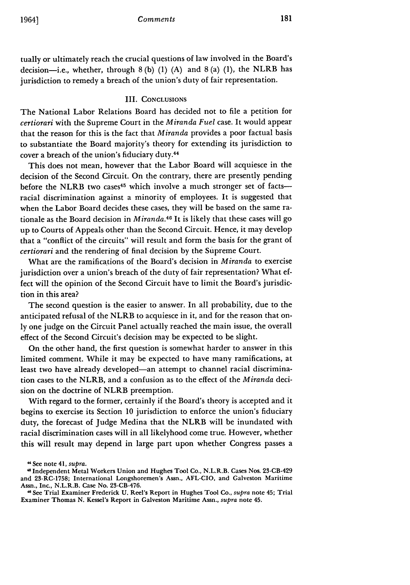tually or ultimately reach the crucial questions of law involved in the Board's decision-i.e., whether, through **8 (b) (1) (A)** and **8** (a) **(1),** the NLRB has jurisdiction to remedy a breach of the union's duty of fair representation.

#### III. **CONCLUSIONS**

The National Labor Relations Board has decided not to file a petition for *certiorari* with the Supreme Court in the *Miranda Fuel* case. It would appear that the reason for this is the fact that *Miranda* provides a poor factual basis to substantiate the Board majority's theory for extending its jurisdiction to cover a breach of the union's fiduciary duty.44

This does not mean, however that the Labor Board will acquiesce in the decision of the Second Circuit. On the contrary, there are presently pending before the NLRB two cases<sup>45</sup> which involve a much stronger set of facts-racial discrimination against a minority of employees. It is suggested that when the Labor Board decides these cases, they will be based on the same rationale as the Board decision in *Miranda.40* It is likely that these cases will go up to Courts of Appeals other than the Second Circuit. Hence, it may develop that a "conflict of the circuits" will result and form the basis for the grant of *certiorari* and the rendering of final decision **by** the Supreme Court.

What are the ramifications of the Board's decision in *Miranda* to exercise jurisdiction over a union's breach of the duty of fair representation? What effect will the opinion of the Second Circuit have to limit the Board's jurisdiction in this area?

The second question is the easier to answer. In all probability, due to the anticipated refusal of the NLRB to acquiesce in it, and for the reason that on**ly** one judge on the Circuit Panel actually reached the main issue, the overall effect of the Second Circuit's decision may be expected to be slight.

On the other hand, the first question is somewhat harder to answer in this limited comment. While it may be expected to have many ramifications, at least two have already developed-an attempt to channel racial discrimination cases to the NLRB, and a confusion as to the effect of the *Miranda* decision on the doctrine of NLRB preemption.

With regard to the former, certainly if the Board's theory is accepted and it begins to exercise its Section **10** jurisdiction to enforce the union's fiduciary duty, the forecast of Judge Medina that the NLRB will be inundated with racial discrimination cases will in all likelyhood come true. However, whether this will result may depend in large part upon whether Congress passes a

"See note 41, *supra.*

Independent Metal Workers Union and Hughes Tool Co., N.L.R.B. Cases Nos. 23-CB-429 and 23-RC-1758; International Longshoremen's Assn., AFL-CIO, and Galveston Maritime Assn., Inc., N.L.R.B. Case No. 23-CB-476.

<sup>&</sup>quot;See Trial Examiner Frederick U. Reel's Report in Hughes Tool Co., *supra* note 45; Trial Examiner Thomas N. Kessel's Report in Galveston Maritime Assn., *supra* note 45.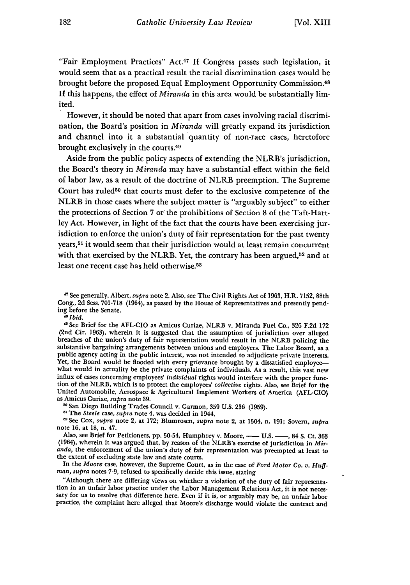"Fair Employment Practices" Act.<sup>47</sup>**If** Congress passes such legislation, it would seem that as a practical result the racial discrimination cases would be brought before the proposed Equal Employment Opportunity Commission.<sup>48</sup> If this happens, the effect of *Miranda* in this area would be substantially limited.

However, it should be noted that apart from cases involving racial discrimination, the Board's position in *Miranda* will greatly expand its jurisdiction and channel into it a substantial quantity of non-race cases, heretofore brought exclusively in the courts. <sup>49</sup>

Aside from the public policy aspects of extending the NLRB's jurisdiction, the Board's theory in *Miranda* may have a substantial effect within the field of labor law, as a result of the doctrine of NLRB preemption. The Supreme Court has ruled<sup>50</sup> that courts must defer to the exclusive competence of the NLRB in those cases where the subject matter is "arguably subject" to either the protections of Section 7 or the prohibitions of Section 8 of the Taft-Hartley Act. However, in light of the fact that the courts have been exercising jurisdiction to enforce the union's duty of fair representation for the past twenty years,<sup>51</sup> it would seem that their jurisdiction would at least remain concurrent with that exercised by the NLRB. Yet, the contrary has been argued,<sup>52</sup> and at least one recent case has held otherwise.5s

*" Ibid.*

**50** San Diego Building Trades Council v. Garmon, **359** U.S. **236** (1959).

**<sup>51</sup>**The *Steele* case, *supra* note 4, was decided in 1944.

r'See Cox, *supra* note 2, at 172; Blumrosen, *supra* note 2, at 1504, n. 191; Sovem, *supra* note 16, at 18, n. 47.

Also, see Brief for Petitioners, **pp.** 50-54, Humphrey v. Moore, **- U.S.** -, 84 **S.** Ct. **363** (1964), wherein it was argued that, **by** reason of the NLRB's exercise of jurisdiction in *Miranda,* the enforcement of the union's duty of fair representation was preempted at least to the extent of excluding state law and state courts.

In the *Moore* case, however, the Supreme Court, as in the case of *Ford Motor Co. v. Huffman, supra* notes **7-9,** refused to specifically decide this issue, stating

"Although there are differing views on whether a violation of the duty of fair representation in an unfair labor practice under the Labor Management Relations Act, it is not neces- sary for us to resolve that difference here. Even if it is, or arguably may be, an unfair labor practice, the complaint here alleged that Moore's discharge would violate the contract and

**<sup>&</sup>quot;** See generally, Albert, *supra* note 2. Also, see The Civil Rights Act of **1963,** H.R. **7152,** 88th Cong., **2d** Sess. **701-718** (1964), as passed **by** the House of Representatives and presently pending before the Senate.

<sup>&</sup>quot; See Brief for the **AFL-CIO** as Amicus Curiae, NLRB v. Miranda Fuel Co., **326 F.2d 172** (2nd Cir. **1963),** wherein it is suggested that the assumption of jurisdiction over alleged breaches of the union's duty of fair representation would result in the NLRB policing the substantive bargaining arrangements between unions and employers. The Labor Board, as a public agency acting in the public interest, was not intended to adjudicate private interests. Yet, the Board would be flooded with every grievance brought by a dissatisfied employeewhat would in actuality be the private complaints of individuals. As a result, this vast new influx of cases concerning employees' *individual* rights would interfere with the proper function of the NLRB, which is to protect the employees' *collective* rights. Also, see Brief for the United Automobile, Aerospace **&** Agricultural Implement Workers of America (AFL-CIO) as Amicus Curiae, *supra* note 39.